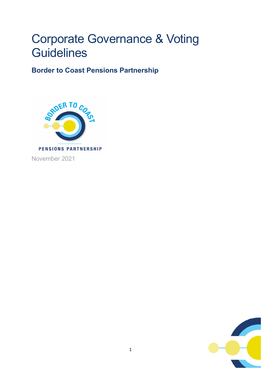# Corporate Governance & Voting **Guidelines**

**Border to Coast Pensions Partnership**



November 2021

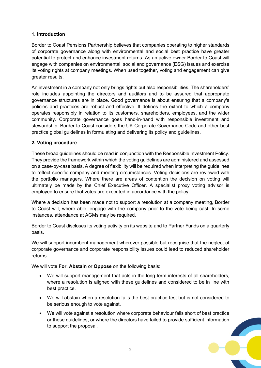# **1. Introduction**

Border to Coast Pensions Partnership believes that companies operating to higher standards of corporate governance along with environmental and social best practice have greater potential to protect and enhance investment returns. As an active owner Border to Coast will engage with companies on environmental, social and governance (ESG) issues and exercise its voting rights at company meetings. When used together, voting and engagement can give greater results.

An investment in a company not only brings rights but also responsibilities. The shareholders' role includes appointing the directors and auditors and to be assured that appropriate governance structures are in place. Good governance is about ensuring that a company's policies and practices are robust and effective. It defines the extent to which a company operates responsibly in relation to its customers, shareholders, employees, and the wider community. Corporate governance goes hand-in-hand with responsible investment and stewardship. Border to Coast considers the UK Corporate Governance Code and other best practice global guidelines in formulating and delivering its policy and guidelines.

# **2. Voting procedure**

These broad guidelines should be read in conjunction with the Responsible Investment Policy. They provide the framework within which the voting guidelines are administered and assessed on a case-by-case basis. A degree of flexibility will be required when interpreting the guidelines to reflect specific company and meeting circumstances. Voting decisions are reviewed with the portfolio managers. Where there are areas of contention the decision on voting will ultimately be made by the Chief Executive Officer. A specialist proxy voting advisor is employed to ensure that votes are executed in accordance with the policy.

Where a decision has been made not to support a resolution at a company meeting, Border to Coast will, where able, engage with the company prior to the vote being cast. In some instances, attendance at AGMs may be required.

Border to Coast discloses its voting activity on its website and to Partner Funds on a quarterly basis.

We will support incumbent management wherever possible but recognise that the neglect of corporate governance and corporate responsibility issues could lead to reduced shareholder returns.

We will vote **For**, **Abstain** or **Oppose** on the following basis:

- We will support management that acts in the long-term interests of all shareholders, where a resolution is aligned with these guidelines and considered to be in line with best practice.
- We will abstain when a resolution fails the best practice test but is not considered to be serious enough to vote against.
- We will vote against a resolution where corporate behaviour falls short of best practice or these guidelines, or where the directors have failed to provide sufficient information to support the proposal.

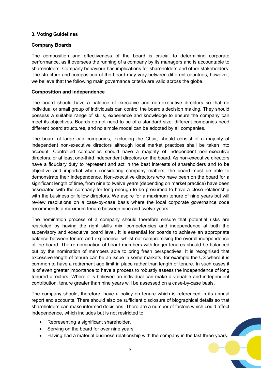## **3. Voting Guidelines**

## **Company Boards**

The composition and effectiveness of the board is crucial to determining corporate performance, as it oversees the running of a company by its managers and is accountable to shareholders. Company behaviour has implications for shareholders and other stakeholders. The structure and composition of the board may vary between different countries; however, we believe that the following main governance criteria are valid across the globe.

#### **Composition and independence**

The board should have a balance of executive and non-executive directors so that no individual or small group of individuals can control the board's decision making. They should possess a suitable range of skills, experience and knowledge to ensure the company can meet its objectives. Boards do not need to be of a standard size: different companies need different board structures, and no simple model can be adopted by all companies.

The board of large cap companies, excluding the Chair, should consist of a majority of independent non-executive directors although local market practices shall be taken into account. Controlled companies should have a majority of independent non-executive directors, or at least one-third independent directors on the board. As non-executive directors have a fiduciary duty to represent and act in the best interests of shareholders and to be objective and impartial when considering company matters, the board must be able to demonstrate their independence. Non-executive directors who have been on the board for a significant length of time, from nine to twelve years (depending on market practice) have been associated with the company for long enough to be presumed to have a close relationship with the business or fellow directors. We aspire for a maximum tenure of nine years but will review resolutions on a case-by-case basis where the local corporate governance code recommends a maximum tenure between nine and twelve years.

The nomination process of a company should therefore ensure that potential risks are restricted by having the right skills mix, competencies and independence at both the supervisory and executive board level. It is essential for boards to achieve an appropriate balance between tenure and experience, whilst not compromising the overall independence of the board. The re-nomination of board members with longer tenures should be balanced out by the nomination of members able to bring fresh perspectives. It is recognised that excessive length of tenure can be an issue in some markets, for example the US where it is common to have a retirement age limit in place rather than length of tenure. In such cases it is of even greater importance to have a process to robustly assess the independence of long tenured directors. Where it is believed an individual can make a valuable and independent contribution, tenure greater than nine years will be assessed on a case-by-case basis.

The company should, therefore, have a policy on tenure which is referenced in its annual report and accounts. There should also be sufficient disclosure of biographical details so that shareholders can make informed decisions. There are a number of factors which could affect independence, which includes but is not restricted to:

- Representing a significant shareholder.
- Serving on the board for over nine years.
- Having had a material business relationship with the company in the last three years.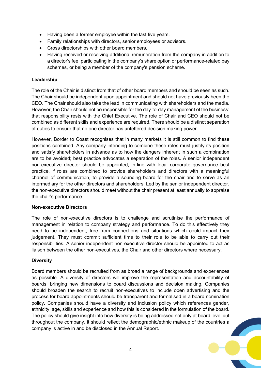- Having been a former employee within the last five years.
- Family relationships with directors, senior employees or advisors.
- Cross directorships with other board members.
- Having received or receiving additional remuneration from the company in addition to a director's fee, participating in the company's share option or performance-related pay schemes, or being a member of the company's pension scheme.

# **Leadership**

The role of the Chair is distinct from that of other board members and should be seen as such. The Chair should be independent upon appointment and should not have previously been the CEO. The Chair should also take the lead in communicating with shareholders and the media. However, the Chair should not be responsible for the day-to-day management of the business: that responsibility rests with the Chief Executive. The role of Chair and CEO should not be combined as different skills and experience are required. There should be a distinct separation of duties to ensure that no one director has unfettered decision making power.

However, Border to Coast recognises that in many markets it is still common to find these positions combined. Any company intending to combine these roles must justify its position and satisfy shareholders in advance as to how the dangers inherent in such a combination are to be avoided; best practice advocates a separation of the roles. A senior independent non-executive director should be appointed, in-line with local corporate governance best practice, if roles are combined to provide shareholders and directors with a meaningful channel of communication, to provide a sounding board for the chair and to serve as an intermediary for the other directors and shareholders. Led by the senior independent director, the non-executive directors should meet without the chair present at least annually to appraise the chair's performance.

# **Non-executive Directors**

The role of non-executive directors is to challenge and scrutinise the performance of management in relation to company strategy and performance. To do this effectively they need to be independent; free from connections and situations which could impact their judgement. They must commit sufficient time to their role to be able to carry out their responsibilities. A senior independent non-executive director should be appointed to act as liaison between the other non-executives, the Chair and other directors where necessary.

# **Diversity**

Board members should be recruited from as broad a range of backgrounds and experiences as possible. A diversity of directors will improve the representation and accountability of boards, bringing new dimensions to board discussions and decision making. Companies should broaden the search to recruit non-executives to include open advertising and the process for board appointments should be transparent and formalised in a board nomination policy. Companies should have a diversity and inclusion policy which references gender, ethnicity, age, skills and experience and how this is considered in the formulation of the board. The policy should give insight into how diversity is being addressed not only at board level but throughout the company, it should reflect the demographic/ethnic makeup of the countries a company is active in and be disclosed in the Annual Report.

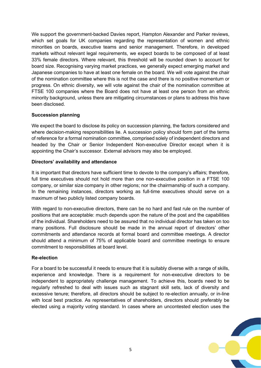We support the government-backed Davies report, Hampton Alexander and Parker reviews, which set goals for UK companies regarding the representation of women and ethnic minorities on boards, executive teams and senior management. Therefore, in developed markets without relevant legal requirements, we expect boards to be composed of at least 33% female directors. Where relevant, this threshold will be rounded down to account for board size. Recognising varying market practices, we generally expect emerging market and Japanese companies to have at least one female on the board. We will vote against the chair of the nomination committee where this is not the case and there is no positive momentum or progress. On ethnic diversity, we will vote against the chair of the nomination committee at FTSE 100 companies where the Board does not have at least one person from an ethnic minority background, unless there are mitigating circumstances or plans to address this have been disclosed.

## **Succession planning**

We expect the board to disclose its policy on succession planning, the factors considered and where decision-making responsibilities lie. A succession policy should form part of the terms of reference for a formal nomination committee, comprised solely of independent directors and headed by the Chair or Senior Independent Non-executive Director except when it is appointing the Chair's successor. External advisors may also be employed.

## **Directors' availability and attendance**

It is important that directors have sufficient time to devote to the company's affairs; therefore, full time executives should not hold more than one non-executive position in a FTSE 100 company, or similar size company in other regions; nor the chairmanship of such a company. In the remaining instances, directors working as full-time executives should serve on a maximum of two publicly listed company boards.

With regard to non-executive directors, there can be no hard and fast rule on the number of positions that are acceptable: much depends upon the nature of the post and the capabilities of the individual. Shareholders need to be assured that no individual director has taken on too many positions. Full disclosure should be made in the annual report of directors' other commitments and attendance records at formal board and committee meetings. A director should attend a minimum of 75% of applicable board and committee meetings to ensure commitment to responsibilities at board level.

#### **Re-election**

For a board to be successful it needs to ensure that it is suitably diverse with a range of skills, experience and knowledge. There is a requirement for non-executive directors to be independent to appropriately challenge management. To achieve this, boards need to be regularly refreshed to deal with issues such as stagnant skill sets, lack of diversity and excessive tenure; therefore, all directors should be subject to re-election annually, or in-line with local best practice. As representatives of shareholders, directors should preferably be elected using a majority voting standard. In cases where an uncontested election uses the

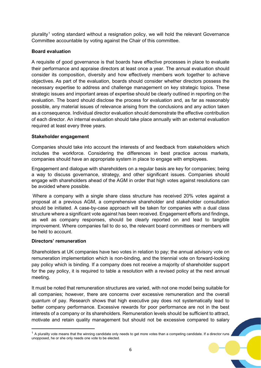plurality<sup>[1](#page-5-0)</sup> voting standard without a resignation policy, we will hold the relevant Governance Committee accountable by voting against the Chair of this committee.

# **Board evaluation**

A requisite of good governance is that boards have effective processes in place to evaluate their performance and appraise directors at least once a year. The annual evaluation should consider its composition, diversity and how effectively members work together to achieve objectives. As part of the evaluation, boards should consider whether directors possess the necessary expertise to address and challenge management on key strategic topics. These strategic issues and important areas of expertise should be clearly outlined in reporting on the evaluation. The board should disclose the process for evaluation and, as far as reasonably possible, any material issues of relevance arising from the conclusions and any action taken as a consequence. Individual director evaluation should demonstrate the effective contribution of each director. An internal evaluation should take place annually with an external evaluation required at least every three years.

# **Stakeholder engagement**

Companies should take into account the interests of and feedback from stakeholders which includes the workforce. Considering the differences in best practice across markets, companies should have an appropriate system in place to engage with employees.

Engagement and dialogue with shareholders on a regular basis are key for companies; being a way to discuss governance, strategy, and other significant issues. Companies should engage with shareholders ahead of the AGM in order that high votes against resolutions can be avoided where possible.

Where a company with a single share class structure has received 20% votes against a proposal at a previous AGM, a comprehensive shareholder and stakeholder consultation should be initiated. A case-by-case approach will be taken for companies with a dual class structure where a significant vote against has been received. Engagement efforts and findings, as well as company responses, should be clearly reported on and lead to tangible improvement. Where companies fail to do so, the relevant board committees or members will be held to account.

# **Directors' remuneration**

Shareholders at UK companies have two votes in relation to pay; the annual advisory vote on remuneration implementation which is non-binding, and the triennial vote on forward-looking pay policy which is binding. If a company does not receive a majority of shareholder support for the pay policy, it is required to table a resolution with a revised policy at the next annual meeting.

It must be noted that remuneration structures are varied, with not one model being suitable for all companies; however, there are concerns over excessive remuneration and the overall quantum of pay. Research shows that high executive pay does not systematically lead to better company performance. Excessive rewards for poor performance are not in the best interests of a company or its shareholders. Remuneration levels should be sufficient to attract, motivate and retain quality management but should not be excessive compared to salary

<span id="page-5-0"></span> $1$  A plurality vote means that the winning candidate only needs to get more votes than a competing candidate. If a director runs unopposed, he or she only needs one vote to be elected.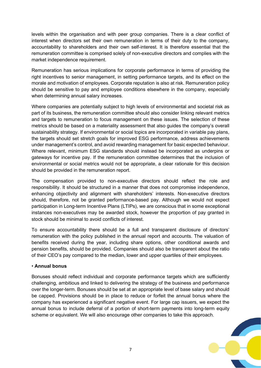levels within the organisation and with peer group companies. There is a clear conflict of interest when directors set their own remuneration in terms of their duty to the company, accountability to shareholders and their own self-interest. It is therefore essential that the remuneration committee is comprised solely of non-executive directors and complies with the market independence requirement.

Remuneration has serious implications for corporate performance in terms of providing the right incentives to senior management, in setting performance targets, and its effect on the morale and motivation of employees. Corporate reputation is also at risk. Remuneration policy should be sensitive to pay and employee conditions elsewhere in the company, especially when determining annual salary increases.

Where companies are potentially subject to high levels of environmental and societal risk as part of its business, the remuneration committee should also consider linking relevant metrics and targets to remuneration to focus management on these issues. The selection of these metrics should be based on a materiality assessment that also guides the company's overall sustainability strategy. If environmental or social topics are incorporated in variable pay plans, the targets should set stretch goals for improved ESG performance, address achievements under management's control, and avoid rewarding management for basic expected behaviour. Where relevant, minimum ESG standards should instead be incorporated as underpins or gateways for incentive pay. If the remuneration committee determines that the inclusion of environmental or social metrics would not be appropriate, a clear rationale for this decision should be provided in the remuneration report.

The compensation provided to non-executive directors should reflect the role and responsibility. It should be structured in a manner that does not compromise independence, enhancing objectivity and alignment with shareholders' interests. Non-executive directors should, therefore, not be granted performance-based pay. Although we would not expect participation in Long-term Incentive Plans (LTIPs), we are conscious that in some exceptional instances non-executives may be awarded stock, however the proportion of pay granted in stock should be minimal to avoid conflicts of interest.

To ensure accountability there should be a full and transparent disclosure of directors' remuneration with the policy published in the annual report and accounts. The valuation of benefits received during the year, including share options, other conditional awards and pension benefits, should be provided. Companies should also be transparent about the ratio of their CEO's pay compared to the median, lower and upper quartiles of their employees.

#### • **Annual bonus**

Bonuses should reflect individual and corporate performance targets which are sufficiently challenging, ambitious and linked to delivering the strategy of the business and performance over the longer-term. Bonuses should be set at an appropriate level of base salary and should be capped. Provisions should be in place to reduce or forfeit the annual bonus where the company has experienced a significant negative event. For large cap issuers, we expect the annual bonus to include deferral of a portion of short-term payments into long-term equity scheme or equivalent. We will also encourage other companies to take this approach.

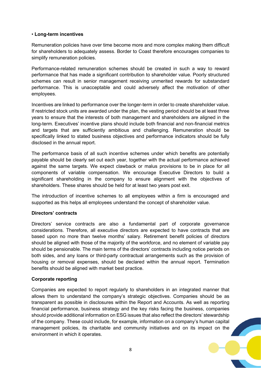## • **Long-term incentives**

Remuneration policies have over time become more and more complex making them difficult for shareholders to adequately assess. Border to Coast therefore encourages companies to simplify remuneration policies.

Performance-related remuneration schemes should be created in such a way to reward performance that has made a significant contribution to shareholder value. Poorly structured schemes can result in senior management receiving unmerited rewards for substandard performance. This is unacceptable and could adversely affect the motivation of other employees.

Incentives are linked to performance over the longer-term in order to create shareholder value. If restricted stock units are awarded under the plan, the vesting period should be at least three years to ensure that the interests of both management and shareholders are aligned in the long-term. Executives' incentive plans should include both financial and non-financial metrics and targets that are sufficiently ambitious and challenging. Remuneration should be specifically linked to stated business objectives and performance indicators should be fully disclosed in the annual report.

The performance basis of all such incentive schemes under which benefits are potentially payable should be clearly set out each year, together with the actual performance achieved against the same targets. We expect clawback or malus provisions to be in place for all components of variable compensation. We encourage Executive Directors to build a significant shareholding in the company to ensure alignment with the objectives of shareholders. These shares should be held for at least two years post exit.

The introduction of incentive schemes to all employees within a firm is encouraged and supported as this helps all employees understand the concept of shareholder value.

#### **Directors' contracts**

Directors' service contracts are also a fundamental part of corporate governance considerations. Therefore, all executive directors are expected to have contracts that are based upon no more than twelve months' salary. Retirement benefit policies of directors should be aligned with those of the majority of the workforce, and no element of variable pay should be pensionable. The main terms of the directors' contracts including notice periods on both sides, and any loans or third-party contractual arrangements such as the provision of housing or removal expenses, should be declared within the annual report. Termination benefits should be aligned with market best practice.

#### **Corporate reporting**

Companies are expected to report regularly to shareholders in an integrated manner that allows them to understand the company's strategic objectives. Companies should be as transparent as possible in disclosures within the Report and Accounts. As well as reporting financial performance, business strategy and the key risks facing the business, companies should provide additional information on ESG issues that also reflect the directors' stewardship of the company. These could include, for example, information on a company's human capital management policies, its charitable and community initiatives and on its impact on the environment in which it operates.

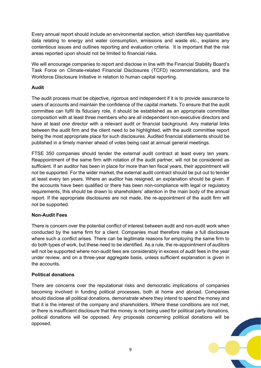Every annual report should include an environmental section, which identifies key quantitative data relating to energy and water consumption, emissions and waste etc., explains any contentious issues and outlines reporting and evaluation criteria. It is important that the risk areas reported upon should not be limited to financial risks.

We will encourage companies to report and disclose in line with the Financial Stability Board's Task Force on Climate-related Financial Disclosures (TCFD) recommendations, and the Workforce Disclosure Initiative in relation to human capital reporting.

# **Audit**

The audit process must be objective, rigorous and independent if it is to provide assurance to users of accounts and maintain the confidence of the capital markets. To ensure that the audit committee can fulfil its fiduciary role, it should be established as an appropriate committee composition with at least three members who are all independent non-executive directors and have at least one director with a relevant audit or financial background. Any material links between the audit firm and the client need to be highlighted, with the audit committee report being the most appropriate place for such disclosures. Audited financial statements should be published in a timely manner ahead of votes being cast at annual general meetings.

FTSE 350 companies should tender the external audit contract at least every ten years. Reappointment of the same firm with rotation of the audit partner, will not be considered as sufficient. If an auditor has been in place for more than ten fiscal years, their appointment will not be supported. For the wider market, the external audit contract should be put out to tender at least every ten years. Where an auditor has resigned, an explanation should be given. If the accounts have been qualified or there has been non-compliance with legal or regulatory requirements, this should be drawn to shareholders' attention in the main body of the annual report. If the appropriate disclosures are not made, the re-appointment of the audit firm will not be supported.

#### **Non-Audit Fees**

There is concern over the potential conflict of interest between audit and non-audit work when conducted by the same firm for a client. Companies must therefore make a full disclosure where such a conflict arises. There can be legitimate reasons for employing the same firm to do both types of work, but these need to be identified. As a rule, the re-appointment of auditors will not be supported where non-audit fees are considerably in excess of audit fees in the year under review, and on a three-year aggregate basis, unless sufficient explanation is given in the accounts.

#### **Political donations**

There are concerns over the reputational risks and democratic implications of companies becoming involved in funding political processes, both at home and abroad. Companies should disclose all political donations, demonstrate where they intend to spend the money and that it is the interest of the company and shareholders. Where these conditions are not met, or there is insufficient disclosure that the money is not being used for political party donations, political donations will be opposed. Any proposals concerning political donations will be opposed.

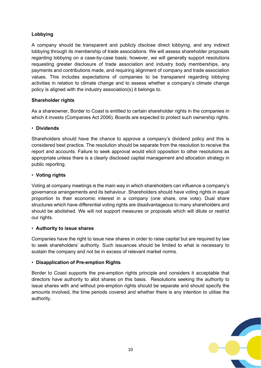# **Lobbying**

A company should be transparent and publicly disclose direct lobbying, and any indirect lobbying through its membership of trade associations. We will assess shareholder proposals regarding lobbying on a case-by-case basis; however, we will generally support resolutions requesting greater disclosure of trade association and industry body memberships, any payments and contributions made, and requiring alignment of company and trade association values. This includes expectations of companies to be transparent regarding lobbying activities in relation to climate change and to assess whether a company's climate change policy is aligned with the industry association(s) it belongs to.

# **Shareholder rights**

As a shareowner, Border to Coast is entitled to certain shareholder rights in the companies in which it invests (Companies Act 2006). Boards are expected to protect such ownership rights.

#### • **Dividends**

Shareholders should have the chance to approve a company's dividend policy and this is considered best practice. The resolution should be separate from the resolution to receive the report and accounts. Failure to seek approval would elicit opposition to other resolutions as appropriate unless there is a clearly disclosed capital management and allocation strategy in public reporting.

#### • **Voting rights**

Voting at company meetings is the main way in which shareholders can influence a company's governance arrangements and its behaviour. Shareholders should have voting rights in equal proportion to their economic interest in a company (one share, one vote). Dual share structures which have differential voting rights are disadvantageous to many shareholders and should be abolished. We will not support measures or proposals which will dilute or restrict our rights.

#### • **Authority to issue shares**

Companies have the right to issue new shares in order to raise capital but are required by law to seek shareholders' authority. Such issuances should be limited to what is necessary to sustain the company and not be in excess of relevant market norms.

# • **Disapplication of Pre-emption Rights**

Border to Coast supports the pre-emption rights principle and considers it acceptable that directors have authority to allot shares on this basis. Resolutions seeking the authority to issue shares with and without pre-emption rights should be separate and should specify the amounts involved, the time periods covered and whether there is any intention to utilise the authority.

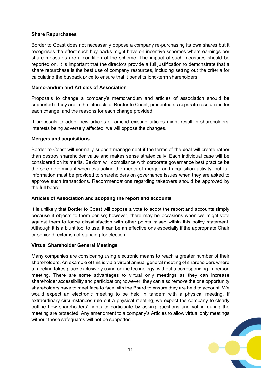#### **Share Repurchases**

Border to Coast does not necessarily oppose a company re-purchasing its own shares but it recognises the effect such buy backs might have on incentive schemes where earnings per share measures are a condition of the scheme. The impact of such measures should be reported on. It is important that the directors provide a full justification to demonstrate that a share repurchase is the best use of company resources, including setting out the criteria for calculating the buyback price to ensure that it benefits long-term shareholders.

## **Memorandum and Articles of Association**

Proposals to change a company's memorandum and articles of association should be supported if they are in the interests of Border to Coast, presented as separate resolutions for each change, and the reasons for each change provided.

If proposals to adopt new articles or amend existing articles might result in shareholders' interests being adversely affected, we will oppose the changes.

## **Mergers and acquisitions**

Border to Coast will normally support management if the terms of the deal will create rather than destroy shareholder value and makes sense strategically. Each individual case will be considered on its merits. Seldom will compliance with corporate governance best practice be the sole determinant when evaluating the merits of merger and acquisition activity, but full information must be provided to shareholders on governance issues when they are asked to approve such transactions. Recommendations regarding takeovers should be approved by the full board.

# **Articles of Association and adopting the report and accounts**

It is unlikely that Border to Coast will oppose a vote to adopt the report and accounts simply because it objects to them per se; however, there may be occasions when we might vote against them to lodge dissatisfaction with other points raised within this policy statement. Although it is a blunt tool to use, it can be an effective one especially if the appropriate Chair or senior director is not standing for election.

#### **Virtual Shareholder General Meetings**

Many companies are considering using electronic means to reach a greater number of their shareholders. An example of this is via a virtual annual general meeting of shareholders where a meeting takes place exclusively using online technology, without a corresponding in-person meeting. There are some advantages to virtual only meetings as they can increase shareholder accessibility and participation; however, they can also remove the one opportunity shareholders have to meet face to face with the Board to ensure they are held to account. We would expect an electronic meeting to be held in tandem with a physical meeting. If extraordinary circumstances rule out a physical meeting, we expect the company to clearly outline how shareholders' rights to participate by asking questions and voting during the meeting are protected. Any amendment to a company's Articles to allow virtual only meetings without these safeguards will not be supported.